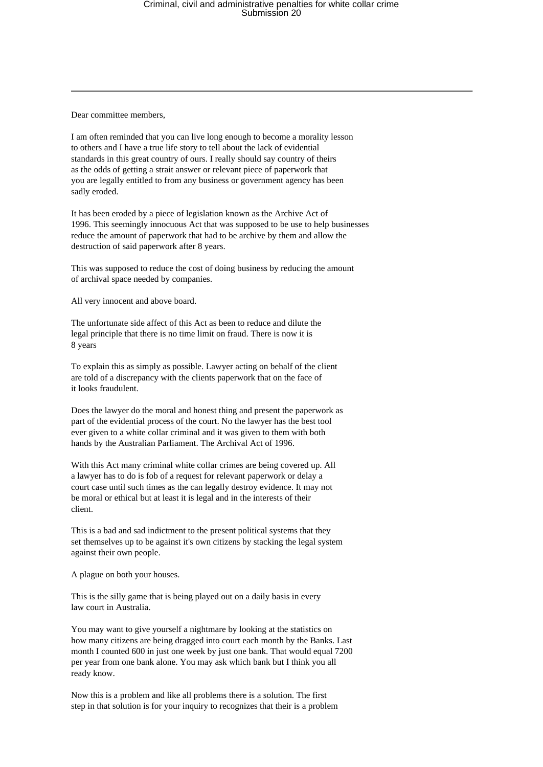Dear committee members,

I am often reminded that you can live long enough to become a morality lesson to others and I have a true life story to tell about the lack of evidential standards in this great country of ours. I really should say country of theirs as the odds of getting a strait answer or relevant piece of paperwork that you are legally entitled to from any business or government agency has been sadly eroded.

It has been eroded by a piece of legislation known as the Archive Act of 1996. This seemingly innocuous Act that was supposed to be use to help businesses reduce the amount of paperwork that had to be archive by them and allow the destruction of said paperwork after 8 years.

This was supposed to reduce the cost of doing business by reducing the amount of archival space needed by companies.

All very innocent and above board.

The unfortunate side affect of this Act as been to reduce and dilute the legal principle that there is no time limit on fraud. There is now it is 8 years

To explain this as simply as possible. Lawyer acting on behalf of the client are told of a discrepancy with the clients paperwork that on the face of it looks fraudulent.

Does the lawyer do the moral and honest thing and present the paperwork as part of the evidential process of the court. No the lawyer has the best tool ever given to a white collar criminal and it was given to them with both hands by the Australian Parliament. The Archival Act of 1996.

With this Act many criminal white collar crimes are being covered up. All a lawyer has to do is fob of a request for relevant paperwork or delay a court case until such times as the can legally destroy evidence. It may not be moral or ethical but at least it is legal and in the interests of their client.

This is a bad and sad indictment to the present political systems that they set themselves up to be against it's own citizens by stacking the legal system against their own people.

A plague on both your houses.

This is the silly game that is being played out on a daily basis in every law court in Australia.

You may want to give yourself a nightmare by looking at the statistics on how many citizens are being dragged into court each month by the Banks. Last month I counted 600 in just one week by just one bank. That would equal 7200 per year from one bank alone. You may ask which bank but I think you all ready know.

Now this is a problem and like all problems there is a solution. The first step in that solution is for your inquiry to recognizes that their is a problem